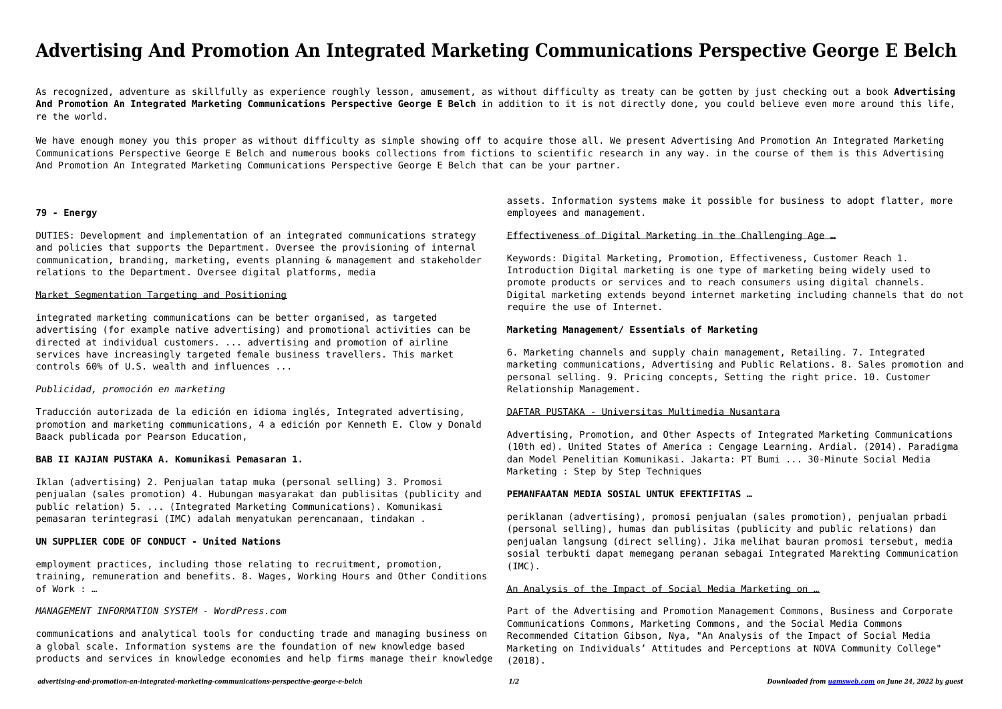# **Advertising And Promotion An Integrated Marketing Communications Perspective George E Belch**

As recognized, adventure as skillfully as experience roughly lesson, amusement, as without difficulty as treaty can be gotten by just checking out a book **Advertising And Promotion An Integrated Marketing Communications Perspective George E Belch** in addition to it is not directly done, you could believe even more around this life, re the world.

We have enough money you this proper as without difficulty as simple showing off to acquire those all. We present Advertising And Promotion An Integrated Marketing Communications Perspective George E Belch and numerous books collections from fictions to scientific research in any way. in the course of them is this Advertising And Promotion An Integrated Marketing Communications Perspective George E Belch that can be your partner.

#### **79 - Energy**

DUTIES: Development and implementation of an integrated communications strategy and policies that supports the Department. Oversee the provisioning of internal communication, branding, marketing, events planning & management and stakeholder relations to the Department. Oversee digital platforms, media

### Market Segmentation Targeting and Positioning

integrated marketing communications can be better organised, as targeted advertising (for example native advertising) and promotional activities can be directed at individual customers. ... advertising and promotion of airline services have increasingly targeted female business travellers. This market controls 60% of U.S. wealth and influences ...

#### *Publicidad, promoción en marketing*

Traducción autorizada de la edición en idioma inglés, Integrated advertising, promotion and marketing communications, 4 a edición por Kenneth E. Clow y Donald Baack publicada por Pearson Education,

#### **BAB II KAJIAN PUSTAKA A. Komunikasi Pemasaran 1.**

Iklan (advertising) 2. Penjualan tatap muka (personal selling) 3. Promosi penjualan (sales promotion) 4. Hubungan masyarakat dan publisitas (publicity and public relation) 5. ... (Integrated Marketing Communications). Komunikasi pemasaran terintegrasi (IMC) adalah menyatukan perencanaan, tindakan .

# **UN SUPPLIER CODE OF CONDUCT - United Nations**

employment practices, including those relating to recruitment, promotion, training, remuneration and benefits. 8. Wages, Working Hours and Other Conditions of Work : …

#### *MANAGEMENT INFORMATION SYSTEM - WordPress.com*

communications and analytical tools for conducting trade and managing business on a global scale. Information systems are the foundation of new knowledge based products and services in knowledge economies and help firms manage their knowledge assets. Information systems make it possible for business to adopt flatter, more employees and management.

# Effectiveness of Digital Marketing in the Challenging Age …

Keywords: Digital Marketing, Promotion, Effectiveness, Customer Reach 1. Introduction Digital marketing is one type of marketing being widely used to promote products or services and to reach consumers using digital channels. Digital marketing extends beyond internet marketing including channels that do not require the use of Internet.

#### **Marketing Management/ Essentials of Marketing**

6. Marketing channels and supply chain management, Retailing. 7. Integrated marketing communications, Advertising and Public Relations. 8. Sales promotion and personal selling. 9. Pricing concepts, Setting the right price. 10. Customer Relationship Management.

# DAFTAR PUSTAKA - Universitas Multimedia Nusantara

Advertising, Promotion, and Other Aspects of Integrated Marketing Communications (10th ed). United States of America : Cengage Learning. Ardial. (2014). Paradigma dan Model Penelitian Komunikasi. Jakarta: PT Bumi ... 30-Minute Social Media Marketing : Step by Step Techniques

# **PEMANFAATAN MEDIA SOSIAL UNTUK EFEKTIFITAS …**

periklanan (advertising), promosi penjualan (sales promotion), penjualan prbadi (personal selling), humas dan publisitas (publicity and public relations) dan penjualan langsung (direct selling). Jika melihat bauran promosi tersebut, media sosial terbukti dapat memegang peranan sebagai Integrated Marekting Communication (IMC).

#### An Analysis of the Impact of Social Media Marketing on …

Part of the Advertising and Promotion Management Commons, Business and Corporate Communications Commons, Marketing Commons, and the Social Media Commons Recommended Citation Gibson, Nya, "An Analysis of the Impact of Social Media Marketing on Individuals' Attitudes and Perceptions at NOVA Community College" (2018).